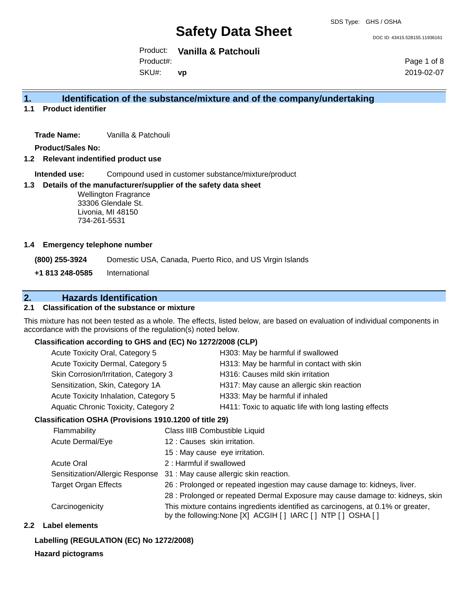DOC ID: 43415.528155.11936161

Product: **Vanilla & Patchouli**  Product#:

SKU#: **vp** Page 1 of 8 2019-02-07

### **1. Identification of the substance/mixture and of the company/undertaking**

**1.1 Product identifier**

**Trade Name:** Vanilla & Patchouli

**Product/Sales No:**

**1.2 Relevant indentified product use**

**Intended use:** Compound used in customer substance/mixture/product

#### **1.3 Details of the manufacturer/supplier of the safety data sheet**

Wellington Fragrance 33306 Glendale St. Livonia, MI 48150 734-261-5531

#### **1.4 Emergency telephone number**

**(800) 255-3924** Domestic USA, Canada, Puerto Rico, and US Virgin Islands

**+1 813 248-0585** International

### **2. Hazards Identification**

#### **2.1 Classification of the substance or mixture**

This mixture has not been tested as a whole. The effects, listed below, are based on evaluation of individual components in accordance with the provisions of the regulation(s) noted below.

#### **Classification according to GHS and (EC) No 1272/2008 (CLP)**

| Acute Toxicity Dermal, Category 5<br>H313: May be harmful in contact with skin                |  |
|-----------------------------------------------------------------------------------------------|--|
|                                                                                               |  |
| Skin Corrosion/Irritation, Category 3<br>H316: Causes mild skin irritation                    |  |
| Sensitization, Skin, Category 1A<br>H317: May cause an allergic skin reaction                 |  |
| Acute Toxicity Inhalation, Category 5<br>H333: May be harmful if inhaled                      |  |
| Aquatic Chronic Toxicity, Category 2<br>H411: Toxic to aquatic life with long lasting effects |  |

#### **Classification OSHA (Provisions 1910.1200 of title 29)**

| Flammability                    | Class IIIB Combustible Liquid                                                                                                                      |
|---------------------------------|----------------------------------------------------------------------------------------------------------------------------------------------------|
| Acute Dermal/Eye                | 12: Causes skin irritation.                                                                                                                        |
|                                 | 15 : May cause eye irritation.                                                                                                                     |
| <b>Acute Oral</b>               | 2: Harmful if swallowed                                                                                                                            |
| Sensitization/Allergic Response | 31 : May cause allergic skin reaction.                                                                                                             |
| <b>Target Organ Effects</b>     | 26 : Prolonged or repeated ingestion may cause damage to: kidneys, liver.                                                                          |
|                                 | 28 : Prolonged or repeated Dermal Exposure may cause damage to: kidneys, skin                                                                      |
| Carcinogenicity                 | This mixture contains ingredients identified as carcinogens, at 0.1% or greater,<br>by the following: None [X] ACGIH [ ] IARC [ ] NTP [ ] OSHA [ ] |

#### **2.2 Label elements**

#### **Labelling (REGULATION (EC) No 1272/2008)**

#### **Hazard pictograms**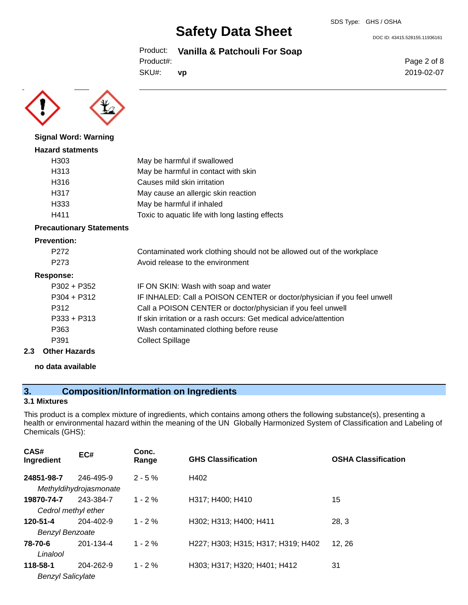Product: **Vanilla & Patchouli For Soap**

Product#:

SKU#: **vp** Page 2 of 8 2019-02-07

DOC ID: 43415.528155.11936161



**Signal Word: Warning Hazard statments**

### H303 May be harmful if swallowed H313 May be harmful in contact with skin H316 Causes mild skin irritation H317 May cause an allergic skin reaction H333 May be harmful if inhaled H411 Toxic to aquatic life with long lasting effects

#### **Precautionary Statements**

#### **Prevention:**

| P <sub>272</sub> | Contaminated work clothing should not be allowed out of the workplace   |
|------------------|-------------------------------------------------------------------------|
| P <sub>273</sub> | Avoid release to the environment                                        |
| Response:        |                                                                         |
| $P302 + P352$    | IF ON SKIN: Wash with soap and water                                    |
| $P304 + P312$    | IF INHALED: Call a POISON CENTER or doctor/physician if you feel unwell |
| P312             | Call a POISON CENTER or doctor/physician if you feel unwell             |
| $P333 + P313$    | If skin irritation or a rash occurs: Get medical advice/attention       |
| P363             | Wash contaminated clothing before reuse                                 |
| P391             | <b>Collect Spillage</b>                                                 |
|                  |                                                                         |

### **2.3 Other Hazards**

#### **no data available**

### **3. Composition/Information on Ingredients**

#### **3.1 Mixtures**

This product is a complex mixture of ingredients, which contains among others the following substance(s), presenting a health or environmental hazard within the meaning of the UN Globally Harmonized System of Classification and Labeling of Chemicals (GHS):

| CAS#<br>Ingredient                   | EC#                                 | Conc.<br>Range | <b>GHS Classification</b>          | <b>OSHA Classification</b> |
|--------------------------------------|-------------------------------------|----------------|------------------------------------|----------------------------|
| 24851-98-7                           | 246-495-9<br>Methyldihydrojasmonate | $2 - 5%$       | H402                               |                            |
| 19870-74-7<br>Cedrol methyl ether    | 243-384-7                           | $1 - 2\%$      | H317; H400; H410                   | 15                         |
| 120-51-4<br><b>Benzyl Benzoate</b>   | $204 - 402 - 9$                     | $1 - 2\%$      | H302; H313; H400; H411             | 28, 3                      |
| 78-70-6<br>Linalool                  | 201-134-4                           | $1 - 2%$       | H227; H303; H315; H317; H319; H402 | 12.26                      |
| 118-58-1<br><b>Benzyl Salicylate</b> | 204-262-9                           | $1 - 2%$       | H303; H317; H320; H401; H412       | 31                         |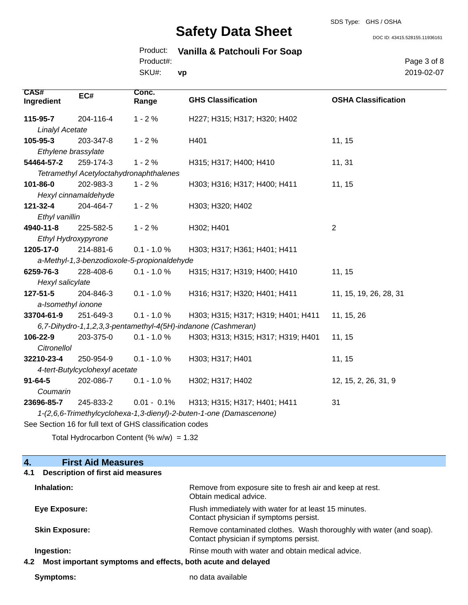#### SDS Type: GHS / OSHA

# **Safety Data Sheet**

DOC ID: 43415.528155.11936161

|           |  | Product: Vanilla & Patchouli For Soap |  |
|-----------|--|---------------------------------------|--|
| Product#: |  |                                       |  |

SKU#: **vp** Page 3 of 8 2019-02-07

| CAS#<br>Ingredient                                                  | EC#                                         | Conc.<br>Range | <b>GHS Classification</b>                                    | <b>OSHA Classification</b> |  |  |
|---------------------------------------------------------------------|---------------------------------------------|----------------|--------------------------------------------------------------|----------------------------|--|--|
| 115-95-7                                                            | 204-116-4                                   | $1 - 2%$       | H227; H315; H317; H320; H402                                 |                            |  |  |
| <b>Linalyl Acetate</b>                                              |                                             |                |                                                              |                            |  |  |
| 105-95-3                                                            | 203-347-8                                   | $1 - 2%$       | H401                                                         | 11, 15                     |  |  |
| Ethylene brassylate                                                 |                                             |                |                                                              |                            |  |  |
| 54464-57-2                                                          | 259-174-3                                   | $1 - 2%$       | H315; H317; H400; H410                                       | 11, 31                     |  |  |
|                                                                     | Tetramethyl Acetyloctahydronaphthalenes     |                |                                                              |                            |  |  |
| 101-86-0                                                            | 202-983-3                                   | $1 - 2%$       | H303; H316; H317; H400; H411                                 | 11, 15                     |  |  |
|                                                                     | Hexyl cinnamaldehyde                        |                |                                                              |                            |  |  |
| 121-32-4                                                            | 204-464-7                                   | $1 - 2%$       | H303; H320; H402                                             |                            |  |  |
| Ethyl vanillin                                                      |                                             |                |                                                              |                            |  |  |
| 4940-11-8                                                           | 225-582-5                                   | $1 - 2%$       | H302; H401                                                   | $\overline{2}$             |  |  |
| Ethyl Hydroxypyrone                                                 |                                             |                |                                                              |                            |  |  |
| 1205-17-0                                                           | 214-881-6                                   | $0.1 - 1.0 %$  | H303; H317; H361; H401; H411                                 |                            |  |  |
|                                                                     | a-Methyl-1,3-benzodioxole-5-propionaldehyde |                |                                                              |                            |  |  |
| 6259-76-3                                                           | 228-408-6                                   | $0.1 - 1.0 %$  | H315; H317; H319; H400; H410                                 | 11, 15                     |  |  |
| Hexyl salicylate                                                    |                                             |                |                                                              |                            |  |  |
| 127-51-5                                                            | 204-846-3                                   | $0.1 - 1.0 %$  | H316; H317; H320; H401; H411                                 | 11, 15, 19, 26, 28, 31     |  |  |
| a-Isomethyl ionone                                                  |                                             |                |                                                              |                            |  |  |
| 33704-61-9                                                          | 251-649-3                                   | $0.1 - 1.0 \%$ | H303; H315; H317; H319; H401; H411                           | 11, 15, 26                 |  |  |
|                                                                     |                                             |                | 6,7-Dihydro-1,1,2,3,3-pentamethyl-4(5H)-indanone (Cashmeran) |                            |  |  |
| 106-22-9                                                            | 203-375-0                                   | $0.1 - 1.0 %$  | H303; H313; H315; H317; H319; H401                           | 11, 15                     |  |  |
| Citronellol                                                         |                                             |                |                                                              |                            |  |  |
| 32210-23-4                                                          | 250-954-9                                   | $0.1 - 1.0 %$  | H303; H317; H401                                             | 11, 15                     |  |  |
| 4-tert-Butylcyclohexyl acetate                                      |                                             |                |                                                              |                            |  |  |
| $91 - 64 - 5$                                                       | 202-086-7                                   | $0.1 - 1.0 %$  | H302; H317; H402                                             | 12, 15, 2, 26, 31, 9       |  |  |
| Coumarin                                                            |                                             |                |                                                              |                            |  |  |
| 23696-85-7                                                          | 245-833-2                                   | $0.01 - 0.1\%$ | H313; H315; H317; H401; H411                                 | 31                         |  |  |
| 1-(2,6,6-Trimethylcyclohexa-1,3-dienyl)-2-buten-1-one (Damascenone) |                                             |                |                                                              |                            |  |  |
| See Section 16 for full text of GHS classification codes            |                                             |                |                                                              |                            |  |  |

Total Hydrocarbon Content  $(\% w/w) = 1.32$ 

| <b>First Aid Measures</b><br>$\overline{4}$ .                      |                                                                                                               |
|--------------------------------------------------------------------|---------------------------------------------------------------------------------------------------------------|
| <b>Description of first aid measures</b><br>4.1                    |                                                                                                               |
| Inhalation:                                                        | Remove from exposure site to fresh air and keep at rest.<br>Obtain medical advice.                            |
| Eye Exposure:                                                      | Flush immediately with water for at least 15 minutes.<br>Contact physician if symptoms persist.               |
| <b>Skin Exposure:</b>                                              | Remove contaminated clothes. Wash thoroughly with water (and soap).<br>Contact physician if symptoms persist. |
| Ingestion:                                                         | Rinse mouth with water and obtain medical advice.                                                             |
| Most important symptoms and effects, both acute and delayed<br>4.2 |                                                                                                               |

**Symptoms:** no data available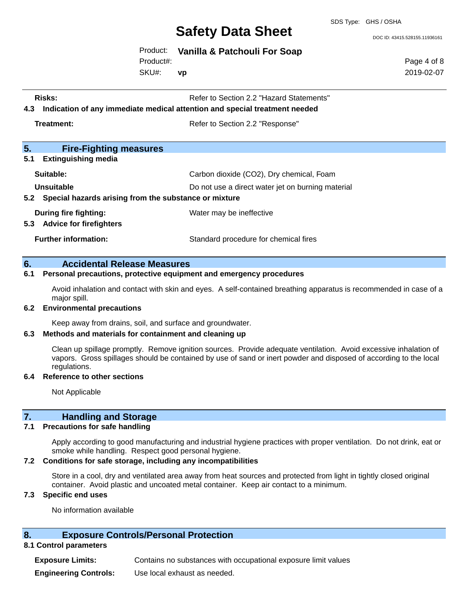SDS Type: GHS / OSHA

DOC ID: 43415.528155.11936161

Page 4 of 8 2019-02-07

|  |  |  | Product: Vanilla & Patchouli For Soap |  |  |
|--|--|--|---------------------------------------|--|--|
|--|--|--|---------------------------------------|--|--|

Product#:

SKU#: **vp**

**Risks:** Risks: Refer to Section 2.2 "Hazard Statements" **4.3 Indication of any immediate medical attention and special treatment needed Treatment:** Treatment: Treatment: Refer to Section 2.2 "Response" **5. Fire-Fighting measures 5.1 Extinguishing media Suitable:** Carbon dioxide (CO2), Dry chemical, Foam **Unsuitable** Do not use a direct water jet on burning material **5.2 Special hazards arising from the substance or mixture**

- **During fire fighting:** Water may be ineffective **5.3 Advice for firefighters**
- **Further information:** Standard procedure for chemical fires

#### **6. Accidental Release Measures**

#### **6.1 Personal precautions, protective equipment and emergency procedures**

Avoid inhalation and contact with skin and eyes. A self-contained breathing apparatus is recommended in case of a major spill.

#### **6.2 Environmental precautions**

Keep away from drains, soil, and surface and groundwater.

#### **6.3 Methods and materials for containment and cleaning up**

Clean up spillage promptly. Remove ignition sources. Provide adequate ventilation. Avoid excessive inhalation of vapors. Gross spillages should be contained by use of sand or inert powder and disposed of according to the local regulations.

#### **6.4 Reference to other sections**

Not Applicable

#### **7. Handling and Storage**

#### **7.1 Precautions for safe handling**

Apply according to good manufacturing and industrial hygiene practices with proper ventilation. Do not drink, eat or smoke while handling. Respect good personal hygiene.

#### **7.2 Conditions for safe storage, including any incompatibilities**

Store in a cool, dry and ventilated area away from heat sources and protected from light in tightly closed original container. Avoid plastic and uncoated metal container. Keep air contact to a minimum.

#### **7.3 Specific end uses**

No information available

#### **8. Exposure Controls/Personal Protection**

#### **8.1 Control parameters**

**Exposure Limits:** Contains no substances with occupational exposure limit values **Engineering Controls:** Use local exhaust as needed.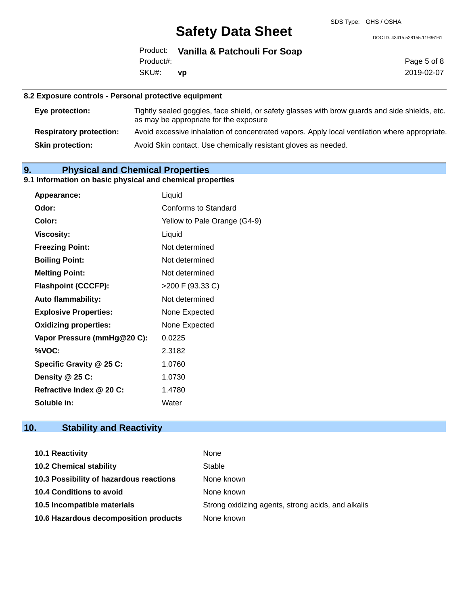DOC ID: 43415.528155.11936161

|           | Product: Vanilla & Patchouli For Soap |
|-----------|---------------------------------------|
| Product#: |                                       |
| SKU#: vp  |                                       |

Page 5 of 8 2019-02-07

#### **8.2 Exposure controls - Personal protective equipment**

| Eye protection:                | Tightly sealed goggles, face shield, or safety glasses with brow guards and side shields, etc.<br>as may be appropriate for the exposure |
|--------------------------------|------------------------------------------------------------------------------------------------------------------------------------------|
| <b>Respiratory protection:</b> | Avoid excessive inhalation of concentrated vapors. Apply local ventilation where appropriate.                                            |
| <b>Skin protection:</b>        | Avoid Skin contact. Use chemically resistant gloves as needed.                                                                           |

### **9. Physical and Chemical Properties**

### **9.1 Information on basic physical and chemical properties**

| Appearance:                  | Liquid                       |
|------------------------------|------------------------------|
| Odor:                        | Conforms to Standard         |
| Color:                       | Yellow to Pale Orange (G4-9) |
| <b>Viscosity:</b>            | Liquid                       |
| <b>Freezing Point:</b>       | Not determined               |
| <b>Boiling Point:</b>        | Not determined               |
| <b>Melting Point:</b>        | Not determined               |
| <b>Flashpoint (CCCFP):</b>   | >200 F (93.33 C)             |
| <b>Auto flammability:</b>    | Not determined               |
| <b>Explosive Properties:</b> | None Expected                |
| <b>Oxidizing properties:</b> | None Expected                |
| Vapor Pressure (mmHg@20 C):  | 0.0225                       |
| %VOC:                        | 2.3182                       |
| Specific Gravity @ 25 C:     | 1.0760                       |
| Density @ 25 C:              | 1.0730                       |
| Refractive Index @ 20 C:     | 1.4780                       |
| Soluble in:                  | Water                        |

### **10. Stability and Reactivity**

| <b>10.1 Reactivity</b>                  | None                                               |
|-----------------------------------------|----------------------------------------------------|
| <b>10.2 Chemical stability</b>          | Stable                                             |
| 10.3 Possibility of hazardous reactions | None known                                         |
| 10.4 Conditions to avoid                | None known                                         |
| 10.5 Incompatible materials             | Strong oxidizing agents, strong acids, and alkalis |
| 10.6 Hazardous decomposition products   | None known                                         |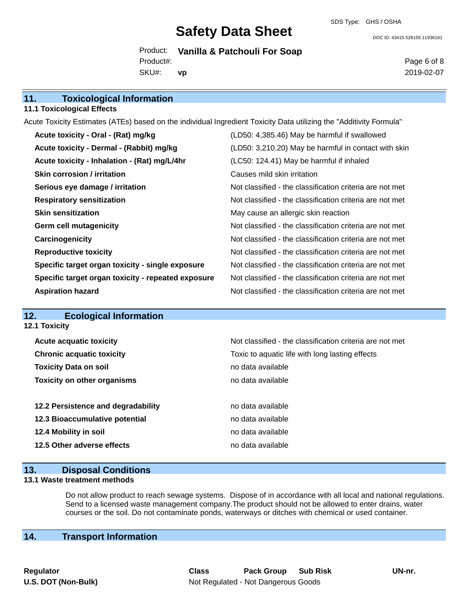SDS Type: GHS / OSHA

DOC ID: 43415.528155.11936161

Product: **Vanilla & Patchouli For Soap** SKU#: Product#: **vp**

Page 6 of 8 2019-02-07

| 11.<br><b>Toxicological Information</b>                                                                             |                                                          |
|---------------------------------------------------------------------------------------------------------------------|----------------------------------------------------------|
| <b>11.1 Toxicological Effects</b>                                                                                   |                                                          |
| Acute Toxicity Estimates (ATEs) based on the individual Ingredient Toxicity Data utilizing the "Additivity Formula" |                                                          |
| Acute toxicity - Oral - (Rat) mg/kg                                                                                 | (LD50: 4,385.46) May be harmful if swallowed             |
| Acute toxicity - Dermal - (Rabbit) mg/kg                                                                            | (LD50: 3,210.20) May be harmful in contact with skin     |
| Acute toxicity - Inhalation - (Rat) mg/L/4hr                                                                        | (LC50: 124.41) May be harmful if inhaled                 |
| <b>Skin corrosion / irritation</b>                                                                                  | Causes mild skin irritation                              |
| Serious eye damage / irritation                                                                                     | Not classified - the classification criteria are not met |
| <b>Respiratory sensitization</b>                                                                                    | Not classified - the classification criteria are not met |
| <b>Skin sensitization</b>                                                                                           | May cause an allergic skin reaction                      |
| <b>Germ cell mutagenicity</b>                                                                                       | Not classified - the classification criteria are not met |
| Carcinogenicity                                                                                                     | Not classified - the classification criteria are not met |
| <b>Reproductive toxicity</b>                                                                                        | Not classified - the classification criteria are not met |
| Specific target organ toxicity - single exposure                                                                    | Not classified - the classification criteria are not met |
| Specific target organ toxicity - repeated exposure                                                                  | Not classified - the classification criteria are not met |
| <b>Aspiration hazard</b>                                                                                            | Not classified - the classification criteria are not met |
|                                                                                                                     |                                                          |

#### **12. Ecological Information 12.1 Toxicity**

| <b>Acute acquatic toxicity</b>     | Not classified - the classification criteria are not met |
|------------------------------------|----------------------------------------------------------|
| <b>Chronic acquatic toxicity</b>   | Toxic to aquatic life with long lasting effects          |
| <b>Toxicity Data on soil</b>       | no data available                                        |
| <b>Toxicity on other organisms</b> | no data available                                        |
|                                    |                                                          |
| 12.2 Persistence and degradability | no data available                                        |
| 12.3 Bioaccumulative potential     | no data available                                        |
| 12.4 Mobility in soil              | no data available                                        |
| 12.5 Other adverse effects         | no data available                                        |
|                                    |                                                          |

#### **13. Disposal Conditions**

#### **13.1 Waste treatment methods**

Do not allow product to reach sewage systems. Dispose of in accordance with all local and national regulations. Send to a licensed waste management company.The product should not be allowed to enter drains, water courses or the soil. Do not contaminate ponds, waterways or ditches with chemical or used container.

### **14. Transport Information**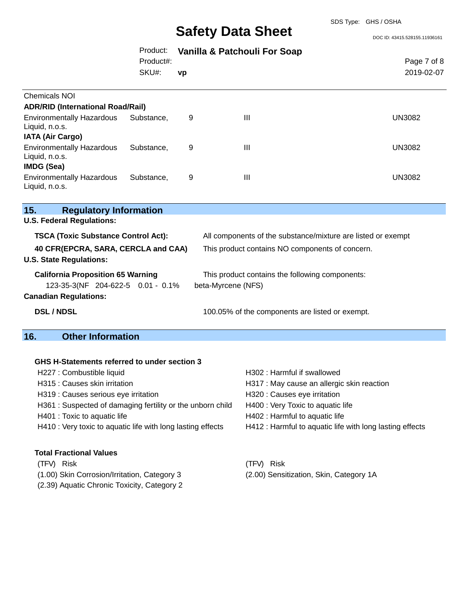#### SDS Type: GHS / OSHA

# **Safety Data Sheet**

DOC ID: 43415.528155.11936161

|                                                                               | Product:<br>Product#: | Vanilla & Patchouli For Soap |                                                                       | Page 7 of 8   |  |
|-------------------------------------------------------------------------------|-----------------------|------------------------------|-----------------------------------------------------------------------|---------------|--|
|                                                                               | SKU#:                 | vp                           |                                                                       | 2019-02-07    |  |
| <b>Chemicals NOI</b><br><b>ADR/RID (International Road/Rail)</b>              |                       |                              |                                                                       |               |  |
| <b>Environmentally Hazardous</b><br>Liquid, n.o.s.<br><b>IATA (Air Cargo)</b> | Substance,            | 9                            | Ш                                                                     | <b>UN3082</b> |  |
| <b>Environmentally Hazardous</b><br>Liquid, n.o.s.<br><b>IMDG (Sea)</b>       | Substance,            | 9                            | Ш                                                                     | <b>UN3082</b> |  |
| <b>Environmentally Hazardous</b><br>Liquid, n.o.s.                            | Substance,            | 9                            | $\mathbf{III}$                                                        | <b>UN3082</b> |  |
| 15.<br><b>Regulatory Information</b>                                          |                       |                              |                                                                       |               |  |
| <b>U.S. Federal Regulations:</b>                                              |                       |                              |                                                                       |               |  |
| <b>TSCA (Toxic Substance Control Act):</b>                                    |                       |                              | All components of the substance/mixture are listed or exempt          |               |  |
| 40 CFR(EPCRA, SARA, CERCLA and CAA)<br><b>U.S. State Regulations:</b>         |                       |                              | This product contains NO components of concern.                       |               |  |
| <b>California Proposition 65 Warning</b><br>123-35-3(NF 204-622-5 0.01 - 0.1% |                       |                              | This product contains the following components:<br>beta-Myrcene (NFS) |               |  |
| <b>Canadian Regulations:</b>                                                  |                       |                              |                                                                       |               |  |
| <b>DSL / NDSL</b>                                                             |                       |                              | 100.05% of the components are listed or exempt.                       |               |  |
| .                                                                             |                       |                              |                                                                       |               |  |

## **16. Other Information**

#### **GHS H-Statements referred to under section 3**

| H227 : Combustible liquid                                   | H302: Harmful if swallowed                               |
|-------------------------------------------------------------|----------------------------------------------------------|
| H315 : Causes skin irritation                               | H317 : May cause an allergic skin reaction               |
| H319 : Causes serious eye irritation                        | H320 : Causes eye irritation                             |
| H361: Suspected of damaging fertility or the unborn child   | H400 : Very Toxic to aquatic life                        |
| H401 : Toxic to aquatic life                                | H402 : Harmful to aquatic life                           |
| H410 : Very toxic to aquatic life with long lasting effects | H412 : Harmful to aquatic life with long lasting effects |
| <b>Total Fractional Values</b>                              |                                                          |
| Risk<br>(TFV)                                               | Risk                                                     |

(1.00) Skin Corrosion/Irritation, Category 3 (2.00) Sensitization, Skin, Category 1A

(2.39) Aquatic Chronic Toxicity, Category 2